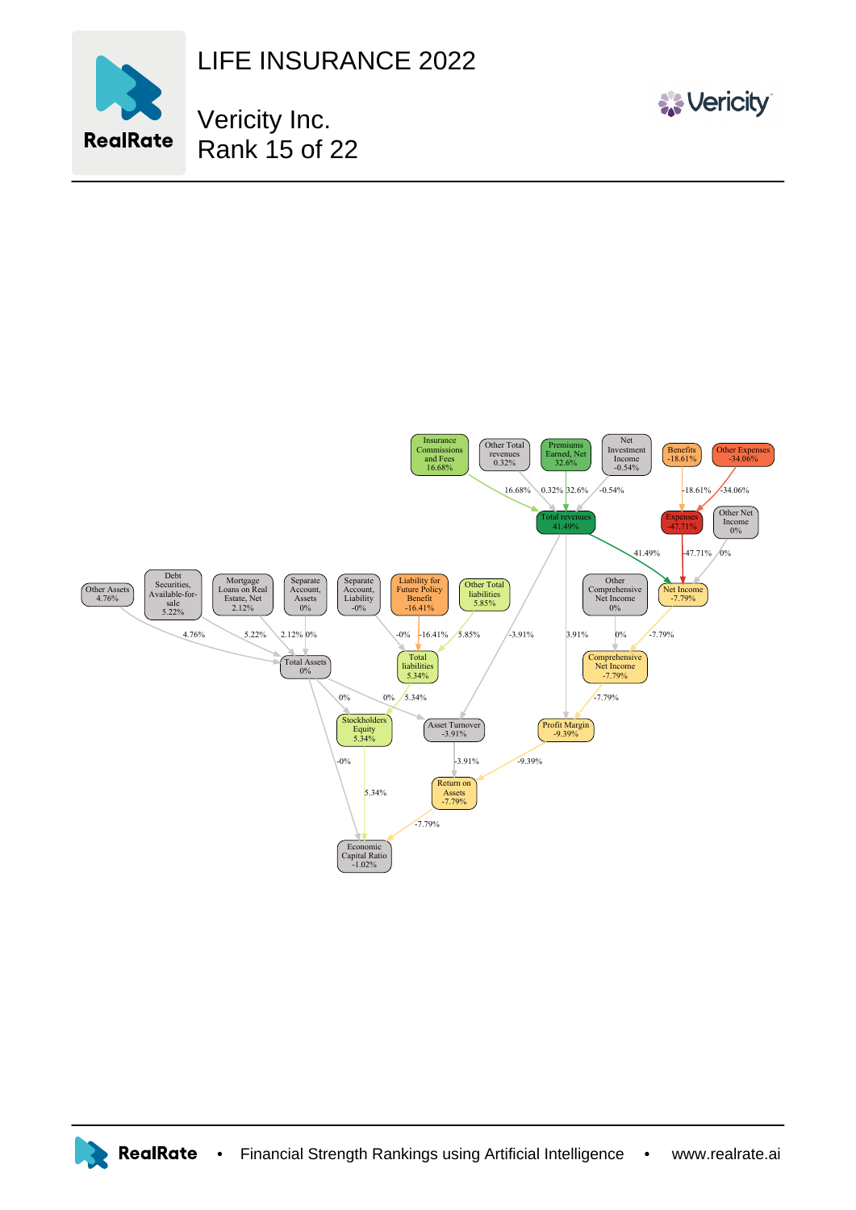